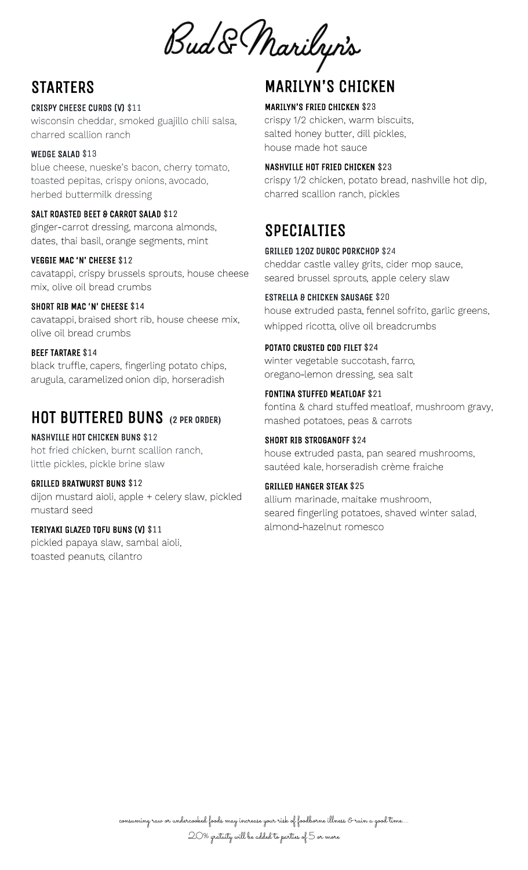Bud & Marilyn's

# **STARTERS**

#### CRISPY CHEESE CURDS (V) \$11

wisconsin cheddar, smoked guajillo chili salsa, charred scallion ranch

#### WEDGE SALAD \$13

blue cheese, nueske's bacon, cherry tomato, toasted pepitas, crispy onions, avocado, herbed buttermilk dressing

#### SALT ROASTED BEET & CARROT SALAD \$12

ginger-carrot dressing, marcona almonds, dates, thai basil, orange segments, mint

#### VEGGIE MAC 'N' CHEESE \$12

cavatappi, crispy brussels sprouts, house cheese mix, olive oil bread crumbs

#### SHORT RIB MAC 'N' CHEESE \$14

cavatappi, braised short rib, house cheese mix, olive oil bread crumbs

#### BEEF TARTARE \$14

black truffle, capers, fingerling potato chips, arugula, caramelized onion dip, horseradish

## HOT BUTTERED BUNS **(**2 PER ORDER**)**

NASHVILLE HOT CHICKEN BUNS \$12 hot fried chicken, burnt scallion ranch, little pickles, pickle brine slaw

#### GRILLED BRATWURST BUNS \$12

dijon mustard aioli, apple + celery slaw, pickled mustard seed

#### TERIYAKI GLAZED TOFU BUNS (V) \$11

pickled papaya slaw, sambal aioli, toasted peanuts, cilantro

## MARILYN'S CHICKEN

#### MARILYN'S FRIED CHICKEN \$23

crispy 1/2 chicken, warm biscuits, salted honey butter, dill pickles, house made hot sauce

#### NASHVILLE HOT FRIED CHICKEN \$23

crispy 1/2 chicken, potato bread, nashville hot dip, charred scallion ranch, pickles

## SPECIALTIES

#### GRILLED 12OZ DUROC PORKCHOP \$24

cheddar castle valley grits, cider mop sauce, seared brussel sprouts, apple celery slaw

#### ESTRELLA & CHICKEN SAUSAGE \$20

house extruded pasta, fennel sofrito, garlic greens, whipped ricotta, olive oil breadcrumbs

#### POTATO CRUSTED COD FILET \$24

winter vegetable succotash, farro, oregano-lemon dressing, sea salt

## FONTINA STUFFED MEATLOAF \$21

fontina & chard stuffed meatloaf, mushroom gravy, mashed potatoes, peas & carrots

#### SHORT RIB STROGANOFF \$24

house extruded pasta, pan seared mushrooms, sautéed kale, horseradish crème fraiche

#### GRILLED HANGER STEAK \$25

allium marinade, maitake mushroom, seared fingerling potatoes, shaved winter salad, almond-hazelnut romesco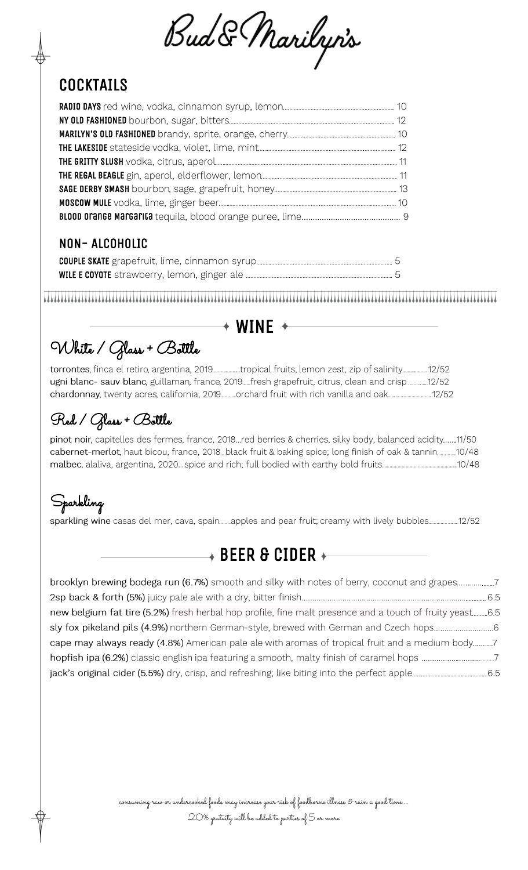Bud & Marilyn's

# **COCKTAILS**

### NON- ALCOHOLIC

## $+$  WINE  $+$

White / Glass + Bottle

torrontes, finca el retiro, argentina, 2019..................tropical fruits, lemon zest, zip of salinity....................12/52 ugni blanc- sauv blanc, guillaman, france, 2019.....fresh grapefruit, citrus, clean and crisp.............12/52 chardonnay, twenty acres, california, 2019............orchard fruit with rich vanilla and oak.............................12/52

## Red / Glass + Bottle

pinot noir, capitelles des fermes, france, 2018...red berries & cherries, silky body, balanced acidity.......11/50 cabernet-merlot, haut bicou, france, 2018. black fruit & baking spice; long finish of oak & tannin............10/48 

## Sparkling

sparkling wine casas del mer, cava, spain........apples and pear fruit; creamy with lively bubbles...................12/52

## $\rightarrow$  BEER & CIDER  $\longleftarrow$

| new belgium fat tire (5.2%) fresh herbal hop profile, fine malt presence and a touch of fruity yeast6.5 |  |
|---------------------------------------------------------------------------------------------------------|--|
|                                                                                                         |  |
| cape may always ready (4.8%) American pale ale with aromas of tropical fruit and a medium body7         |  |
|                                                                                                         |  |
|                                                                                                         |  |